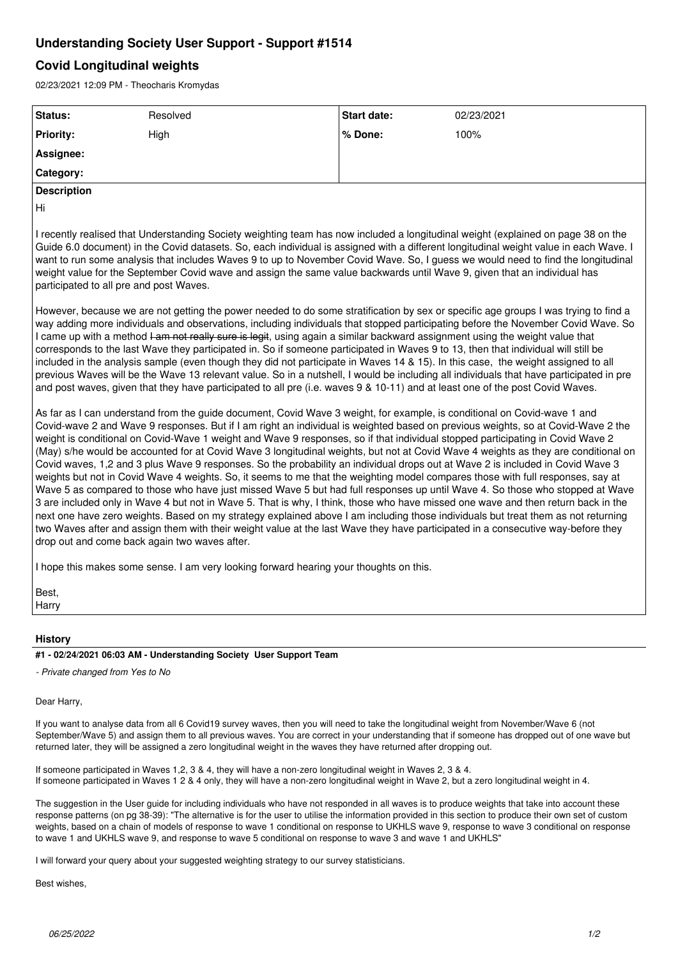# **Understanding Society User Support - Support #1514**

# **Covid Longitudinal weights**

02/23/2021 12:09 PM - Theocharis Kromydas

| Status:                                                                                                                                                                                                                                                                                                                                                                                                             | Resolved                                                                                                                                                                                                                                                                                                                                                                                                                                               | Start date: | 02/23/2021                                                                                                                                                                                                                                                                                                                                                                                                                                                                                                                                                                                                                                                                                                                                                                                                                                                                                                                                                                                                                                                                                                                                                                                                                                                                                                                                                                                                                                                                                                                                                                                                                                                                                                                                                                                                                                                                                                                    |
|---------------------------------------------------------------------------------------------------------------------------------------------------------------------------------------------------------------------------------------------------------------------------------------------------------------------------------------------------------------------------------------------------------------------|--------------------------------------------------------------------------------------------------------------------------------------------------------------------------------------------------------------------------------------------------------------------------------------------------------------------------------------------------------------------------------------------------------------------------------------------------------|-------------|-------------------------------------------------------------------------------------------------------------------------------------------------------------------------------------------------------------------------------------------------------------------------------------------------------------------------------------------------------------------------------------------------------------------------------------------------------------------------------------------------------------------------------------------------------------------------------------------------------------------------------------------------------------------------------------------------------------------------------------------------------------------------------------------------------------------------------------------------------------------------------------------------------------------------------------------------------------------------------------------------------------------------------------------------------------------------------------------------------------------------------------------------------------------------------------------------------------------------------------------------------------------------------------------------------------------------------------------------------------------------------------------------------------------------------------------------------------------------------------------------------------------------------------------------------------------------------------------------------------------------------------------------------------------------------------------------------------------------------------------------------------------------------------------------------------------------------------------------------------------------------------------------------------------------------|
| <b>Priority:</b>                                                                                                                                                                                                                                                                                                                                                                                                    | High                                                                                                                                                                                                                                                                                                                                                                                                                                                   | % Done:     | 100%                                                                                                                                                                                                                                                                                                                                                                                                                                                                                                                                                                                                                                                                                                                                                                                                                                                                                                                                                                                                                                                                                                                                                                                                                                                                                                                                                                                                                                                                                                                                                                                                                                                                                                                                                                                                                                                                                                                          |
| Assignee:                                                                                                                                                                                                                                                                                                                                                                                                           |                                                                                                                                                                                                                                                                                                                                                                                                                                                        |             |                                                                                                                                                                                                                                                                                                                                                                                                                                                                                                                                                                                                                                                                                                                                                                                                                                                                                                                                                                                                                                                                                                                                                                                                                                                                                                                                                                                                                                                                                                                                                                                                                                                                                                                                                                                                                                                                                                                               |
| Category:                                                                                                                                                                                                                                                                                                                                                                                                           |                                                                                                                                                                                                                                                                                                                                                                                                                                                        |             |                                                                                                                                                                                                                                                                                                                                                                                                                                                                                                                                                                                                                                                                                                                                                                                                                                                                                                                                                                                                                                                                                                                                                                                                                                                                                                                                                                                                                                                                                                                                                                                                                                                                                                                                                                                                                                                                                                                               |
| <b>Description</b>                                                                                                                                                                                                                                                                                                                                                                                                  |                                                                                                                                                                                                                                                                                                                                                                                                                                                        |             |                                                                                                                                                                                                                                                                                                                                                                                                                                                                                                                                                                                                                                                                                                                                                                                                                                                                                                                                                                                                                                                                                                                                                                                                                                                                                                                                                                                                                                                                                                                                                                                                                                                                                                                                                                                                                                                                                                                               |
| Hi                                                                                                                                                                                                                                                                                                                                                                                                                  |                                                                                                                                                                                                                                                                                                                                                                                                                                                        |             |                                                                                                                                                                                                                                                                                                                                                                                                                                                                                                                                                                                                                                                                                                                                                                                                                                                                                                                                                                                                                                                                                                                                                                                                                                                                                                                                                                                                                                                                                                                                                                                                                                                                                                                                                                                                                                                                                                                               |
|                                                                                                                                                                                                                                                                                                                                                                                                                     | weight value for the September Covid wave and assign the same value backwards until Wave 9, given that an individual has<br>participated to all pre and post Waves.                                                                                                                                                                                                                                                                                    |             | I recently realised that Understanding Society weighting team has now included a longitudinal weight (explained on page 38 on the<br>Guide 6.0 document) in the Covid datasets. So, each individual is assigned with a different longitudinal weight value in each Wave. I<br>want to run some analysis that includes Waves 9 to up to November Covid Wave. So, I guess we would need to find the longitudinal                                                                                                                                                                                                                                                                                                                                                                                                                                                                                                                                                                                                                                                                                                                                                                                                                                                                                                                                                                                                                                                                                                                                                                                                                                                                                                                                                                                                                                                                                                                |
|                                                                                                                                                                                                                                                                                                                                                                                                                     | I came up with a method <del>I am not really sure is legit</del> , using again a similar backward assignment using the weight value that<br>and post waves, given that they have participated to all pre (i.e. waves 9 & 10-11) and at least one of the post Covid Waves.<br>As far as I can understand from the guide document, Covid Wave 3 weight, for example, is conditional on Covid-wave 1 and<br>drop out and come back again two waves after. |             | However, because we are not getting the power needed to do some stratification by sex or specific age groups I was trying to find a<br>way adding more individuals and observations, including individuals that stopped participating before the November Covid Wave. So<br>corresponds to the last Wave they participated in. So if someone participated in Waves 9 to 13, then that individual will still be<br>included in the analysis sample (even though they did not participate in Waves 14 & 15). In this case, the weight assigned to all<br>previous Waves will be the Wave 13 relevant value. So in a nutshell, I would be including all individuals that have participated in pre<br>Covid-wave 2 and Wave 9 responses. But if I am right an individual is weighted based on previous weights, so at Covid-Wave 2 the<br>weight is conditional on Covid-Wave 1 weight and Wave 9 responses, so if that individual stopped participating in Covid Wave 2<br>(May) s/he would be accounted for at Covid Wave 3 longitudinal weights, but not at Covid Wave 4 weights as they are conditional on<br>Covid waves, 1,2 and 3 plus Wave 9 responses. So the probability an individual drops out at Wave 2 is included in Covid Wave 3<br>weights but not in Covid Wave 4 weights. So, it seems to me that the weighting model compares those with full responses, say at<br>Wave 5 as compared to those who have just missed Wave 5 but had full responses up until Wave 4. So those who stopped at Wave<br>3 are included only in Wave 4 but not in Wave 5. That is why, I think, those who have missed one wave and then return back in the<br>next one have zero weights. Based on my strategy explained above I am including those individuals but treat them as not returning<br>two Waves after and assign them with their weight value at the last Wave they have participated in a consecutive way-before they |
| I hope this makes some sense. I am very looking forward hearing your thoughts on this.                                                                                                                                                                                                                                                                                                                              |                                                                                                                                                                                                                                                                                                                                                                                                                                                        |             |                                                                                                                                                                                                                                                                                                                                                                                                                                                                                                                                                                                                                                                                                                                                                                                                                                                                                                                                                                                                                                                                                                                                                                                                                                                                                                                                                                                                                                                                                                                                                                                                                                                                                                                                                                                                                                                                                                                               |
| Best,<br>Harry                                                                                                                                                                                                                                                                                                                                                                                                      |                                                                                                                                                                                                                                                                                                                                                                                                                                                        |             |                                                                                                                                                                                                                                                                                                                                                                                                                                                                                                                                                                                                                                                                                                                                                                                                                                                                                                                                                                                                                                                                                                                                                                                                                                                                                                                                                                                                                                                                                                                                                                                                                                                                                                                                                                                                                                                                                                                               |
|                                                                                                                                                                                                                                                                                                                                                                                                                     |                                                                                                                                                                                                                                                                                                                                                                                                                                                        |             |                                                                                                                                                                                                                                                                                                                                                                                                                                                                                                                                                                                                                                                                                                                                                                                                                                                                                                                                                                                                                                                                                                                                                                                                                                                                                                                                                                                                                                                                                                                                                                                                                                                                                                                                                                                                                                                                                                                               |
| <b>History</b><br>#1 - 02/24/2021 06:03 AM - Understanding Society User Support Team                                                                                                                                                                                                                                                                                                                                |                                                                                                                                                                                                                                                                                                                                                                                                                                                        |             |                                                                                                                                                                                                                                                                                                                                                                                                                                                                                                                                                                                                                                                                                                                                                                                                                                                                                                                                                                                                                                                                                                                                                                                                                                                                                                                                                                                                                                                                                                                                                                                                                                                                                                                                                                                                                                                                                                                               |
| - Private changed from Yes to No                                                                                                                                                                                                                                                                                                                                                                                    |                                                                                                                                                                                                                                                                                                                                                                                                                                                        |             |                                                                                                                                                                                                                                                                                                                                                                                                                                                                                                                                                                                                                                                                                                                                                                                                                                                                                                                                                                                                                                                                                                                                                                                                                                                                                                                                                                                                                                                                                                                                                                                                                                                                                                                                                                                                                                                                                                                               |
|                                                                                                                                                                                                                                                                                                                                                                                                                     |                                                                                                                                                                                                                                                                                                                                                                                                                                                        |             |                                                                                                                                                                                                                                                                                                                                                                                                                                                                                                                                                                                                                                                                                                                                                                                                                                                                                                                                                                                                                                                                                                                                                                                                                                                                                                                                                                                                                                                                                                                                                                                                                                                                                                                                                                                                                                                                                                                               |
| Dear Harry,                                                                                                                                                                                                                                                                                                                                                                                                         |                                                                                                                                                                                                                                                                                                                                                                                                                                                        |             |                                                                                                                                                                                                                                                                                                                                                                                                                                                                                                                                                                                                                                                                                                                                                                                                                                                                                                                                                                                                                                                                                                                                                                                                                                                                                                                                                                                                                                                                                                                                                                                                                                                                                                                                                                                                                                                                                                                               |
| If you want to analyse data from all 6 Covid19 survey waves, then you will need to take the longitudinal weight from November/Wave 6 (not<br>September/Wave 5) and assign them to all previous waves. You are correct in your understanding that if someone has dropped out of one wave but<br>returned later, they will be assigned a zero longitudinal weight in the waves they have returned after dropping out. |                                                                                                                                                                                                                                                                                                                                                                                                                                                        |             |                                                                                                                                                                                                                                                                                                                                                                                                                                                                                                                                                                                                                                                                                                                                                                                                                                                                                                                                                                                                                                                                                                                                                                                                                                                                                                                                                                                                                                                                                                                                                                                                                                                                                                                                                                                                                                                                                                                               |
| If someone participated in Waves 1,2, 3 & 4, they will have a non-zero longitudinal weight in Waves 2, 3 & 4.                                                                                                                                                                                                                                                                                                       |                                                                                                                                                                                                                                                                                                                                                                                                                                                        |             |                                                                                                                                                                                                                                                                                                                                                                                                                                                                                                                                                                                                                                                                                                                                                                                                                                                                                                                                                                                                                                                                                                                                                                                                                                                                                                                                                                                                                                                                                                                                                                                                                                                                                                                                                                                                                                                                                                                               |

The suggestion in the User guide for including individuals who have not responded in all waves is to produce weights that take into account these response patterns (on pg 38-39): "The alternative is for the user to utilise the information provided in this section to produce their own set of custom weights, based on a chain of models of response to wave 1 conditional on response to UKHLS wave 9, response to wave 3 conditional on response to wave 1 and UKHLS wave 9, and response to wave 5 conditional on response to wave 3 and wave 1 and UKHLS"

If someone participated in Waves 1 2 & 4 only, they will have a non-zero longitudinal weight in Wave 2, but a zero longitudinal weight in 4.

I will forward your query about your suggested weighting strategy to our survey statisticians.

Best wishes,